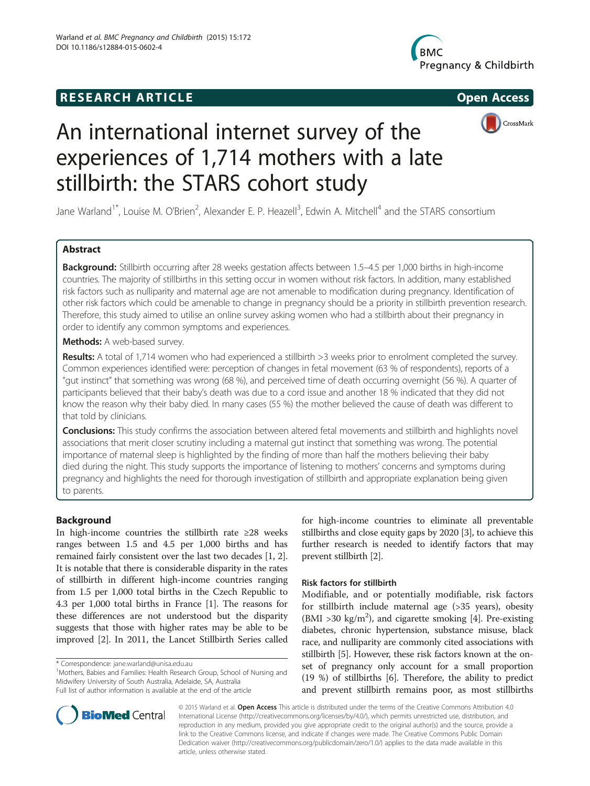# **RESEARCH ARTICLE Example 2014 CONSIDERING CONSIDERING CONSIDERING CONSIDERING CONSIDERING CONSIDERING CONSIDERING CONSIDERING CONSIDERING CONSIDERING CONSIDERING CONSIDERING CONSIDERING CONSIDERING CONSIDERING CONSIDE**







# An international internet survey of the experiences of 1,714 mothers with a late stillbirth: the STARS cohort study

Jane Warland<sup>1\*</sup>, Louise M. O'Brien<sup>2</sup>, Alexander E. P. Heazell<sup>3</sup>, Edwin A. Mitchell<sup>4</sup> and the STARS consortium

# Abstract

Background: Stillbirth occurring after 28 weeks gestation affects between 1.5-4.5 per 1,000 births in high-income countries. The majority of stillbirths in this setting occur in women without risk factors. In addition, many established risk factors such as nulliparity and maternal age are not amenable to modification during pregnancy. Identification of other risk factors which could be amenable to change in pregnancy should be a priority in stillbirth prevention research. Therefore, this study aimed to utilise an online survey asking women who had a stillbirth about their pregnancy in order to identify any common symptoms and experiences.

Methods: A web-based survey.

Results: A total of 1,714 women who had experienced a stillbirth >3 weeks prior to enrolment completed the survey. Common experiences identified were: perception of changes in fetal movement (63 % of respondents), reports of a "gut instinct" that something was wrong (68 %), and perceived time of death occurring overnight (56 %). A quarter of participants believed that their baby's death was due to a cord issue and another 18 % indicated that they did not know the reason why their baby died. In many cases (55 %) the mother believed the cause of death was different to that told by clinicians.

**Conclusions:** This study confirms the association between altered fetal movements and stillbirth and highlights novel associations that merit closer scrutiny including a maternal gut instinct that something was wrong. The potential importance of maternal sleep is highlighted by the finding of more than half the mothers believing their baby died during the night. This study supports the importance of listening to mothers' concerns and symptoms during pregnancy and highlights the need for thorough investigation of stillbirth and appropriate explanation being given to parents.

# Background

In high-income countries the stillbirth rate ≥28 weeks ranges between 1.5 and 4.5 per 1,000 births and has remained fairly consistent over the last two decades [[1](#page-9-0), [2](#page-9-0)]. It is notable that there is considerable disparity in the rates of stillbirth in different high-income countries ranging from 1.5 per 1,000 total births in the Czech Republic to 4.3 per 1,000 total births in France [[1](#page-9-0)]. The reasons for these differences are not understood but the disparity suggests that those with higher rates may be able to be improved [[2\]](#page-9-0). In 2011, the Lancet Stillbirth Series called

<sup>1</sup>Mothers, Babies and Families: Health Research Group, School of Nursing and Midwifery University of South Australia, Adelaide, SA, Australia Full list of author information is available at the end of the article

for high-income countries to eliminate all preventable stillbirths and close equity gaps by 2020 [[3](#page-9-0)], to achieve this further research is needed to identify factors that may prevent stillbirth [[2\]](#page-9-0).

# Risk factors for stillbirth

Modifiable, and or potentially modifiable, risk factors for stillbirth include maternal age (>35 years), obesity (BMI >30 kg/m<sup>2</sup>), and cigarette smoking [[4](#page-9-0)]. Pre-existing diabetes, chronic hypertension, substance misuse, black race, and nulliparity are commonly cited associations with stillbirth [\[5](#page-9-0)]. However, these risk factors known at the onset of pregnancy only account for a small proportion (19 %) of stillbirths [[6](#page-9-0)]. Therefore, the ability to predict and prevent stillbirth remains poor, as most stillbirths



© 2015 Warland et al. Open Access This article is distributed under the terms of the Creative Commons Attribution 4.0 International License [\(http://creativecommons.org/licenses/by/4.0/\)](http://creativecommons.org/licenses/by/4.0/), which permits unrestricted use, distribution, and reproduction in any medium, provided you give appropriate credit to the original author(s) and the source, provide a link to the Creative Commons license, and indicate if changes were made. The Creative Commons Public Domain Dedication waiver ([http://creativecommons.org/publicdomain/zero/1.0/\)](http://creativecommons.org/publicdomain/zero/1.0/) applies to the data made available in this article, unless otherwise stated.

<sup>\*</sup> Correspondence: [jane.warland@unisa.edu.au](mailto:jane.warland@unisa.edu.au) <sup>1</sup>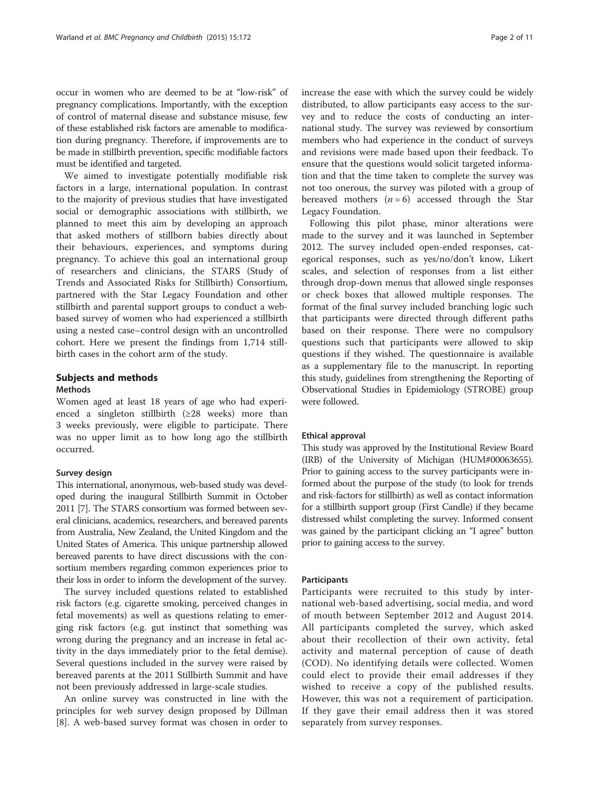occur in women who are deemed to be at "low-risk" of pregnancy complications. Importantly, with the exception of control of maternal disease and substance misuse, few of these established risk factors are amenable to modification during pregnancy. Therefore, if improvements are to be made in stillbirth prevention, specific modifiable factors must be identified and targeted.

We aimed to investigate potentially modifiable risk factors in a large, international population. In contrast to the majority of previous studies that have investigated social or demographic associations with stillbirth, we planned to meet this aim by developing an approach that asked mothers of stillborn babies directly about their behaviours, experiences, and symptoms during pregnancy. To achieve this goal an international group of researchers and clinicians, the STARS (Study of Trends and Associated Risks for Stillbirth) Consortium, partnered with the Star Legacy Foundation and other stillbirth and parental support groups to conduct a webbased survey of women who had experienced a stillbirth using a nested case–control design with an uncontrolled cohort. Here we present the findings from 1,714 stillbirth cases in the cohort arm of the study.

# Subjects and methods

#### Methods

Women aged at least 18 years of age who had experienced a singleton stillbirth  $(≥28$  weeks) more than 3 weeks previously, were eligible to participate. There was no upper limit as to how long ago the stillbirth occurred.

#### Survey design

This international, anonymous, web-based study was developed during the inaugural Stillbirth Summit in October 2011 [\[7](#page-9-0)]. The STARS consortium was formed between several clinicians, academics, researchers, and bereaved parents from Australia, New Zealand, the United Kingdom and the United States of America. This unique partnership allowed bereaved parents to have direct discussions with the consortium members regarding common experiences prior to their loss in order to inform the development of the survey.

The survey included questions related to established risk factors (e.g. cigarette smoking, perceived changes in fetal movements) as well as questions relating to emerging risk factors (e.g. gut instinct that something was wrong during the pregnancy and an increase in fetal activity in the days immediately prior to the fetal demise). Several questions included in the survey were raised by bereaved parents at the 2011 Stillbirth Summit and have not been previously addressed in large-scale studies.

An online survey was constructed in line with the principles for web survey design proposed by Dillman [[8\]](#page-9-0). A web-based survey format was chosen in order to increase the ease with which the survey could be widely distributed, to allow participants easy access to the survey and to reduce the costs of conducting an international study. The survey was reviewed by consortium members who had experience in the conduct of surveys and revisions were made based upon their feedback. To ensure that the questions would solicit targeted information and that the time taken to complete the survey was not too onerous, the survey was piloted with a group of bereaved mothers  $(n = 6)$  accessed through the Star Legacy Foundation.

Following this pilot phase, minor alterations were made to the survey and it was launched in September 2012. The survey included open-ended responses, categorical responses, such as yes/no/don't know, Likert scales, and selection of responses from a list either through drop-down menus that allowed single responses or check boxes that allowed multiple responses. The format of the final survey included branching logic such that participants were directed through different paths based on their response. There were no compulsory questions such that participants were allowed to skip questions if they wished. The questionnaire is available as a supplementary file to the manuscript. In reporting this study, guidelines from strengthening the Reporting of Observational Studies in Epidemiology (STROBE) group were followed.

### Ethical approval

This study was approved by the Institutional Review Board (IRB) of the University of Michigan (HUM#00063655). Prior to gaining access to the survey participants were informed about the purpose of the study (to look for trends and risk-factors for stillbirth) as well as contact information for a stillbirth support group (First Candle) if they became distressed whilst completing the survey. Informed consent was gained by the participant clicking an "I agree" button prior to gaining access to the survey.

#### Participants

Participants were recruited to this study by international web-based advertising, social media, and word of mouth between September 2012 and August 2014. All participants completed the survey, which asked about their recollection of their own activity, fetal activity and maternal perception of cause of death (COD). No identifying details were collected. Women could elect to provide their email addresses if they wished to receive a copy of the published results. However, this was not a requirement of participation. If they gave their email address then it was stored separately from survey responses.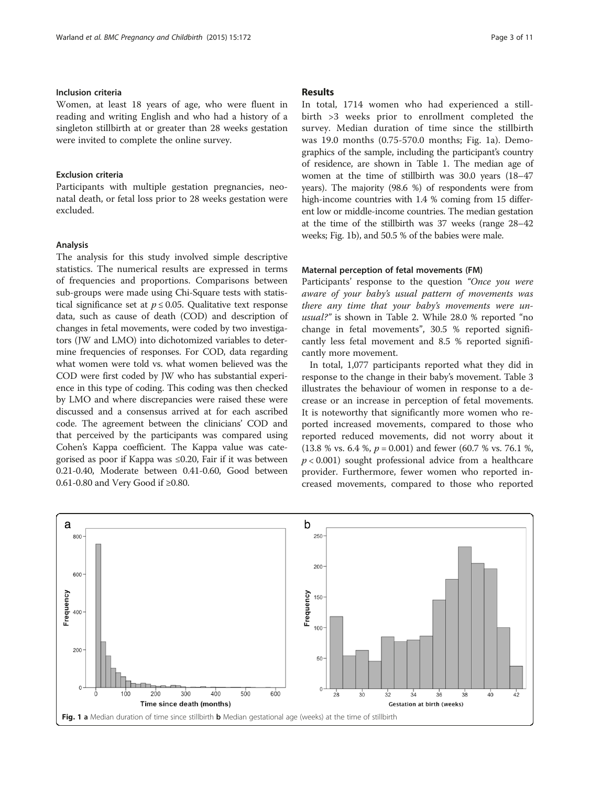## Inclusion criteria

Women, at least 18 years of age, who were fluent in reading and writing English and who had a history of a singleton stillbirth at or greater than 28 weeks gestation were invited to complete the online survey.

#### Exclusion criteria

Participants with multiple gestation pregnancies, neonatal death, or fetal loss prior to 28 weeks gestation were excluded.

### Analysis

The analysis for this study involved simple descriptive statistics. The numerical results are expressed in terms of frequencies and proportions. Comparisons between sub-groups were made using Chi-Square tests with statistical significance set at  $p \le 0.05$ . Qualitative text response data, such as cause of death (COD) and description of changes in fetal movements, were coded by two investigators (JW and LMO) into dichotomized variables to determine frequencies of responses. For COD, data regarding what women were told vs. what women believed was the COD were first coded by JW who has substantial experience in this type of coding. This coding was then checked by LMO and where discrepancies were raised these were discussed and a consensus arrived at for each ascribed code. The agreement between the clinicians' COD and that perceived by the participants was compared using Cohen's Kappa coefficient. The Kappa value was categorised as poor if Kappa was ≤0.20, Fair if it was between 0.21-0.40, Moderate between 0.41-0.60, Good between 0.61-0.80 and Very Good if ≥0.80.

#### Results

In total, 1714 women who had experienced a stillbirth >3 weeks prior to enrollment completed the survey. Median duration of time since the stillbirth was 19.0 months (0.75-570.0 months; Fig. 1a). Demographics of the sample, including the participant's country of residence, are shown in Table [1.](#page-3-0) The median age of women at the time of stillbirth was 30.0 years (18–47 years). The majority (98.6 %) of respondents were from high-income countries with 1.4 % coming from 15 different low or middle-income countries. The median gestation at the time of the stillbirth was 37 weeks (range 28–42 weeks; Fig. 1b), and 50.5 % of the babies were male.

#### Maternal perception of fetal movements (FM)

Participants' response to the question "Once you were aware of your baby's usual pattern of movements was there any time that your baby's movements were unusual?" is shown in Table [2.](#page-3-0) While 28.0 % reported "no change in fetal movements", 30.5 % reported significantly less fetal movement and 8.5 % reported significantly more movement.

In total, 1,077 participants reported what they did in response to the change in their baby's movement. Table [3](#page-4-0) illustrates the behaviour of women in response to a decrease or an increase in perception of fetal movements. It is noteworthy that significantly more women who reported increased movements, compared to those who reported reduced movements, did not worry about it  $(13.8 \% \text{ vs. } 6.4 \% , p = 0.001)$  and fewer  $(60.7 \% \text{ vs. } 76.1 \% ,$  $p < 0.001$ ) sought professional advice from a healthcare provider. Furthermore, fewer women who reported increased movements, compared to those who reported

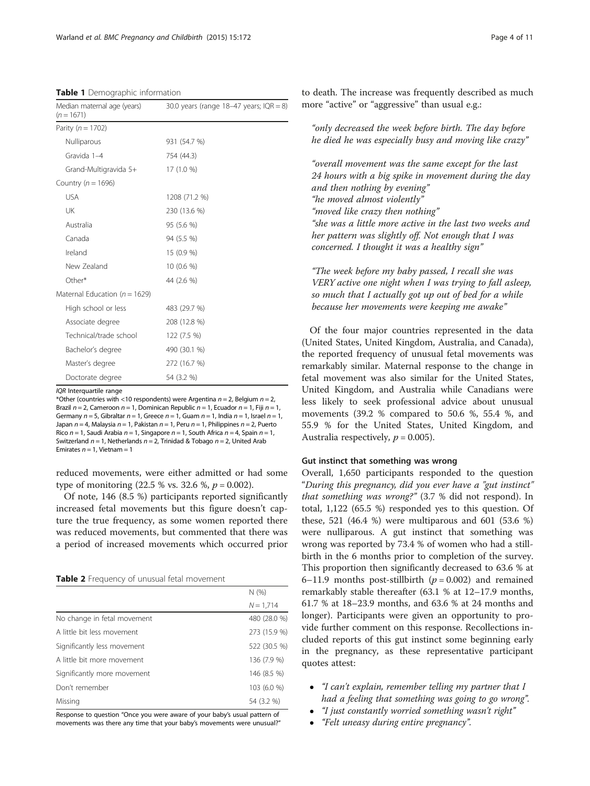<span id="page-3-0"></span>

| Median maternal age (years)<br>$(n = 1671)$ | 30.0 years (range 18-47 years; $IQR = 8$ ) |
|---------------------------------------------|--------------------------------------------|
| Parity ( $n = 1702$ )                       |                                            |
| Nulliparous                                 | 931 (54.7 %)                               |
| Gravida 1-4                                 | 754 (44.3)                                 |
| Grand-Multigravida 5+                       | 17 (1.0 %)                                 |
| Country ( $n = 1696$ )                      |                                            |
| <b>USA</b>                                  | 1208 (71.2 %)                              |
| UK                                          | 230 (13.6 %)                               |
| Australia                                   | 95 (5.6 %)                                 |
| Canada                                      | 94 (5.5 %)                                 |
| Ireland                                     | 15 (0.9 %)                                 |
| New Zealand                                 | 10 (0.6 %)                                 |
| Other*                                      | 44 (2.6 %)                                 |
| Maternal Education ( $n = 1629$ )           |                                            |
| High school or less                         | 483 (29.7 %)                               |
| Associate degree                            | 208 (12.8 %)                               |
| Technical/trade school                      | 122 (7.5 %)                                |
| Bachelor's degree                           | 490 (30.1 %)                               |
| Master's degree                             | 272 (16.7 %)                               |
| Doctorate degree                            | 54 (3.2 %)                                 |

IOR Interquartile range

\*Other (countries with <10 respondents) were Argentina  $n = 2$ , Belgium  $n = 2$ , Brazil  $n = 2$ , Cameroon  $n = 1$ , Dominican Republic  $n = 1$ , Ecuador  $n = 1$ , Fiji  $n = 1$ , Germany  $n = 5$ , Gibraltar  $n = 1$ , Greece  $n = 1$ , Guam  $n = 1$ , India  $n = 1$ , Israel  $n = 1$ , Japan  $n = 4$ , Malaysia  $n = 1$ , Pakistan  $n = 1$ , Peru  $n = 1$ , Philippines  $n = 2$ , Puerto Rico  $n = 1$ , Saudi Arabia  $n = 1$ , Singapore  $n = 1$ , South Africa  $n = 4$ , Spain  $n = 1$ , Switzerland  $n = 1$ , Netherlands  $n = 2$ , Trinidad & Tobago  $n = 2$ , United Arab Emirates  $n = 1$ , Vietnam = 1

reduced movements, were either admitted or had some type of monitoring  $(22.5 %$  vs. 32.6 %,  $p = 0.002$ ).

Of note, 146 (8.5 %) participants reported significantly increased fetal movements but this figure doesn't capture the true frequency, as some women reported there was reduced movements, but commented that there was a period of increased movements which occurred prior

Table 2 Frequency of unusual fetal movement

|                             | N(%          |
|-----------------------------|--------------|
|                             | $N = 1,714$  |
| No change in fetal movement | 480 (28.0 %) |
| A little bit less movement  | 273 (15.9 %) |
| Significantly less movement | 522 (30.5 %) |
| A little bit more movement  | 136 (7.9 %)  |
| Significantly more movement | 146 (8.5 %)  |
| Don't remember              | 103 (6.0 %)  |
| Missing                     | 54 (3.2 %)   |

Response to question "Once you were aware of your baby's usual pattern of movements was there any time that your baby's movements were unusual?" to death. The increase was frequently described as much more "active" or "aggressive" than usual e.g.:

"only decreased the week before birth. The day before he died he was especially busy and moving like crazy"

"overall movement was the same except for the last 24 hours with a big spike in movement during the day and then nothing by evening" "he moved almost violently" "moved like crazy then nothing" "she was a little more active in the last two weeks and her pattern was slightly off. Not enough that I was concerned. I thought it was a healthy sign"

"The week before my baby passed, I recall she was VERY active one night when I was trying to fall asleep, so much that I actually got up out of bed for a while because her movements were keeping me awake"

Of the four major countries represented in the data (United States, United Kingdom, Australia, and Canada), the reported frequency of unusual fetal movements was remarkably similar. Maternal response to the change in fetal movement was also similar for the United States, United Kingdom, and Australia while Canadians were less likely to seek professional advice about unusual movements (39.2 % compared to 50.6 %, 55.4 %, and 55.9 % for the United States, United Kingdom, and Australia respectively,  $p = 0.005$ ).

# Gut instinct that something was wrong

Overall, 1,650 participants responded to the question "During this pregnancy, did you ever have a "gut instinct" that something was wrong?" (3.7 % did not respond). In total, 1,122 (65.5 %) responded yes to this question. Of these, 521 (46.4 %) were multiparous and 601 (53.6 %) were nulliparous. A gut instinct that something was wrong was reported by 73.4 % of women who had a stillbirth in the 6 months prior to completion of the survey. This proportion then significantly decreased to 63.6 % at 6–11.9 months post-stillbirth ( $p = 0.002$ ) and remained remarkably stable thereafter (63.1 % at 12–17.9 months, 61.7 % at 18–23.9 months, and 63.6 % at 24 months and longer). Participants were given an opportunity to provide further comment on this response. Recollections included reports of this gut instinct some beginning early in the pregnancy, as these representative participant quotes attest:

- "I can't explain, remember telling my partner that I had a feeling that something was going to go wrong".
- "I just constantly worried something wasn't right"
- "Felt uneasy during entire pregnancy".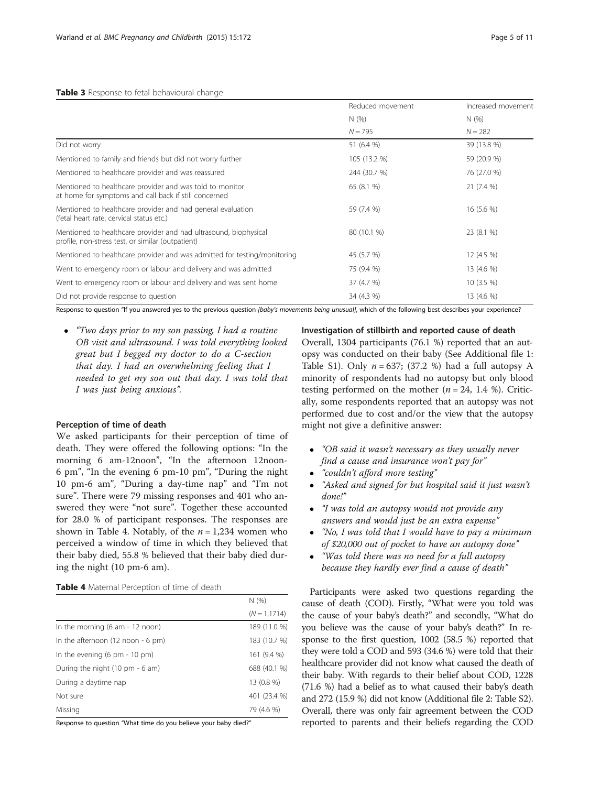<span id="page-4-0"></span>

|                                                                                                                       | Reduced movement | Increased movement |  |
|-----------------------------------------------------------------------------------------------------------------------|------------------|--------------------|--|
|                                                                                                                       | N(%)             | N(%)<br>$N = 282$  |  |
|                                                                                                                       | $N = 795$        |                    |  |
| Did not worry                                                                                                         | 51 (6.4 %)       | 39 (13.8 %)        |  |
| Mentioned to family and friends but did not worry further                                                             | 105 (13.2 %)     | 59 (20.9 %)        |  |
| Mentioned to healthcare provider and was reassured                                                                    | 244 (30.7 %)     | 76 (27.0 %)        |  |
| Mentioned to healthcare provider and was told to monitor<br>at home for symptoms and call back if still concerned     | 65 (8.1 %)       | 21(7.4%            |  |
| Mentioned to healthcare provider and had general evaluation<br>(fetal heart rate, cervical status etc.)               | 59 (7.4 %)       | 16 (5.6 %)         |  |
| Mentioned to healthcare provider and had ultrasound, biophysical<br>profile, non-stress test, or similar (outpatient) | 80 (10.1 %)      | 23 (8.1 %)         |  |
| Mentioned to healthcare provider and was admitted for testing/monitoring                                              | 45 (5.7 %)       | 12 (4.5 %)         |  |
| Went to emergency room or labour and delivery and was admitted                                                        | 75 (9.4 %)       | 13 (4.6 %)         |  |
| Went to emergency room or labour and delivery and was sent home                                                       | 37 (4.7 %)       | $10(3.5\%)$        |  |
| Did not provide response to question                                                                                  | 34 (4.3 %)       | 13 (4.6 %)         |  |

Response to question "If you answered yes to the previous question [baby's movements being unusual], which of the following best describes your experience?

 "Two days prior to my son passing, I had a routine OB visit and ultrasound. I was told everything looked great but I begged my doctor to do a C-section that day. I had an overwhelming feeling that I needed to get my son out that day. I was told that I was just being anxious".

# Perception of time of death

We asked participants for their perception of time of death. They were offered the following options: "In the morning 6 am-12noon", "In the afternoon 12noon-6 pm", "In the evening 6 pm-10 pm", "During the night 10 pm-6 am", "During a day-time nap" and "I'm not sure". There were 79 missing responses and 401 who answered they were "not sure". Together these accounted for 28.0 % of participant responses. The responses are shown in Table 4. Notably, of the  $n = 1,234$  women who perceived a window of time in which they believed that their baby died, 55.8 % believed that their baby died during the night (10 pm-6 am).

# Table 4 Maternal Perception of time of death

|                                                     | N(96)           |
|-----------------------------------------------------|-----------------|
|                                                     | $(N = 1, 1714)$ |
| In the morning $(6 am - 12 noon)$                   | 189 (11.0 %)    |
| In the afternoon $(12 \text{ noon} - 6 \text{ pm})$ | 183 (10.7 %)    |
| In the evening $(6 \text{ pm} - 10 \text{ pm})$     | 161 (9.4 %)     |
| During the night (10 pm - 6 am)                     | 688 (40.1 %)    |
| During a daytime nap                                | 13 (0.8 %)      |
| Not sure                                            | 401 (23.4 %)    |
| Missing                                             | 79 (4.6 %)      |

Response to question "What time do you believe your baby died?"

Investigation of stillbirth and reported cause of death

Overall, 1304 participants (76.1 %) reported that an autopsy was conducted on their baby (See Additional file [1](#page-9-0): Table S1). Only  $n = 637$ ; (37.2 %) had a full autopsy A minority of respondents had no autopsy but only blood testing performed on the mother ( $n = 24$ , 1.4 %). Critically, some respondents reported that an autopsy was not performed due to cost and/or the view that the autopsy might not give a definitive answer:

- "OB said it wasn't necessary as they usually never find a cause and insurance won't pay for"
- "couldn't afford more testing"
- "Asked and signed for but hospital said it just wasn't done!"
- "I was told an autopsy would not provide any answers and would just be an extra expense"
- "No, I was told that I would have to pay a minimum of \$20,000 out of pocket to have an autopsy done"
- "Was told there was no need for a full autopsy because they hardly ever find a cause of death"

Participants were asked two questions regarding the cause of death (COD). Firstly, "What were you told was the cause of your baby's death?" and secondly, "What do you believe was the cause of your baby's death?" In response to the first question, 1002 (58.5 %) reported that they were told a COD and 593 (34.6 %) were told that their healthcare provider did not know what caused the death of their baby. With regards to their belief about COD, 1228 (71.6 %) had a belief as to what caused their baby's death and 272 (15.9 %) did not know (Additional file [2](#page-9-0): Table S2). Overall, there was only fair agreement between the COD reported to parents and their beliefs regarding the COD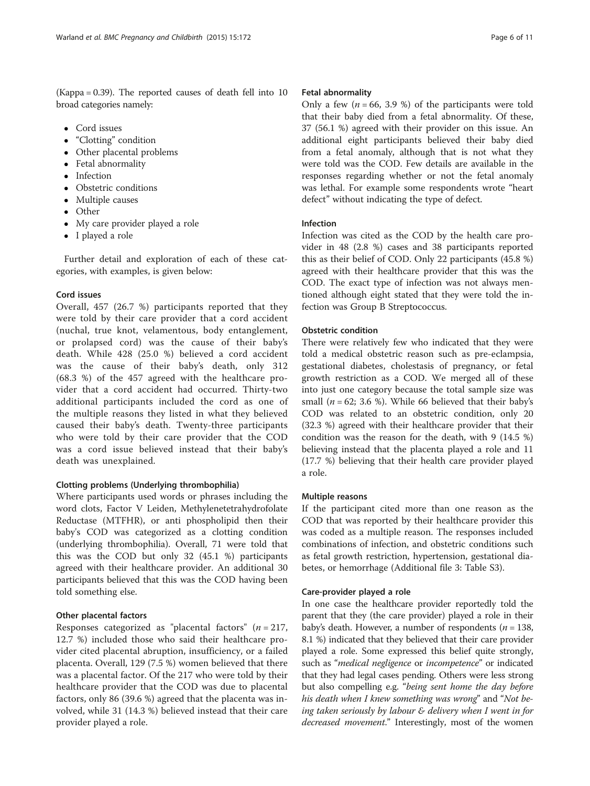(Kappa = 0.39). The reported causes of death fell into 10 broad categories namely:

- Cord issues
- "Clotting" condition
- Other placental problems
- Fetal abnormality
- Infection
- Obstetric conditions
- Multiple causes
- Other
- My care provider played a role
- I played a role

Further detail and exploration of each of these categories, with examples, is given below:

# Cord issues

Overall, 457 (26.7 %) participants reported that they were told by their care provider that a cord accident (nuchal, true knot, velamentous, body entanglement, or prolapsed cord) was the cause of their baby's death. While 428 (25.0 %) believed a cord accident was the cause of their baby's death, only 312 (68.3 %) of the 457 agreed with the healthcare provider that a cord accident had occurred. Thirty-two additional participants included the cord as one of the multiple reasons they listed in what they believed caused their baby's death. Twenty-three participants who were told by their care provider that the COD was a cord issue believed instead that their baby's death was unexplained.

# Clotting problems (Underlying thrombophilia)

Where participants used words or phrases including the word clots, Factor V Leiden, Methylenetetrahydrofolate Reductase (MTFHR), or anti phospholipid then their baby's COD was categorized as a clotting condition (underlying thrombophilia). Overall, 71 were told that this was the COD but only 32 (45.1 %) participants agreed with their healthcare provider. An additional 30 participants believed that this was the COD having been told something else.

# Other placental factors

Responses categorized as "placental factors" ( $n = 217$ , 12.7 %) included those who said their healthcare provider cited placental abruption, insufficiency, or a failed placenta. Overall, 129 (7.5 %) women believed that there was a placental factor. Of the 217 who were told by their healthcare provider that the COD was due to placental factors, only 86 (39.6 %) agreed that the placenta was involved, while 31 (14.3 %) believed instead that their care provider played a role.

#### Fetal abnormality

Only a few  $(n = 66, 3.9)$  of the participants were told that their baby died from a fetal abnormality. Of these, 37 (56.1 %) agreed with their provider on this issue. An additional eight participants believed their baby died from a fetal anomaly, although that is not what they were told was the COD. Few details are available in the responses regarding whether or not the fetal anomaly was lethal. For example some respondents wrote "heart defect" without indicating the type of defect.

# Infection

Infection was cited as the COD by the health care provider in 48 (2.8 %) cases and 38 participants reported this as their belief of COD. Only 22 participants (45.8 %) agreed with their healthcare provider that this was the COD. The exact type of infection was not always mentioned although eight stated that they were told the infection was Group B Streptococcus.

#### Obstetric condition

There were relatively few who indicated that they were told a medical obstetric reason such as pre-eclampsia, gestational diabetes, cholestasis of pregnancy, or fetal growth restriction as a COD. We merged all of these into just one category because the total sample size was small ( $n = 62$ ; 3.6 %). While 66 believed that their baby's COD was related to an obstetric condition, only 20 (32.3 %) agreed with their healthcare provider that their condition was the reason for the death, with 9 (14.5 %) believing instead that the placenta played a role and 11 (17.7 %) believing that their health care provider played a role.

# Multiple reasons

If the participant cited more than one reason as the COD that was reported by their healthcare provider this was coded as a multiple reason. The responses included combinations of infection, and obstetric conditions such as fetal growth restriction, hypertension, gestational diabetes, or hemorrhage (Additional file [3](#page-9-0): Table S3).

#### Care-provider played a role

In one case the healthcare provider reportedly told the parent that they (the care provider) played a role in their baby's death. However, a number of respondents ( $n = 138$ , 8.1 %) indicated that they believed that their care provider played a role. Some expressed this belief quite strongly, such as "medical negligence or incompetence" or indicated that they had legal cases pending. Others were less strong but also compelling e.g. "being sent home the day before his death when I knew something was wrong" and "Not being taken seriously by labour & delivery when I went in for decreased movement." Interestingly, most of the women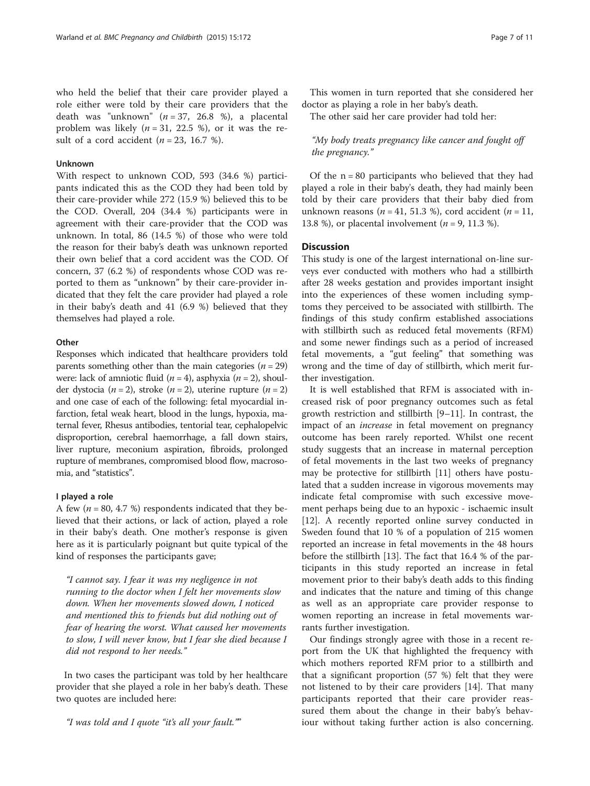who held the belief that their care provider played a role either were told by their care providers that the death was "unknown"  $(n = 37, 26.8 \%)$ , a placental problem was likely  $(n = 31, 22.5 \%)$ , or it was the result of a cord accident  $(n = 23, 16.7 \%)$ .

### Unknown

With respect to unknown COD, 593 (34.6 %) participants indicated this as the COD they had been told by their care-provider while 272 (15.9 %) believed this to be the COD. Overall, 204 (34.4 %) participants were in agreement with their care-provider that the COD was unknown. In total, 86 (14.5 %) of those who were told the reason for their baby's death was unknown reported their own belief that a cord accident was the COD. Of concern, 37 (6.2 %) of respondents whose COD was reported to them as "unknown" by their care-provider indicated that they felt the care provider had played a role in their baby's death and 41 (6.9 %) believed that they themselves had played a role.

#### **Other**

Responses which indicated that healthcare providers told parents something other than the main categories ( $n = 29$ ) were: lack of amniotic fluid ( $n = 4$ ), asphyxia ( $n = 2$ ), shoulder dystocia (*n* = 2), stroke (*n* = 2), uterine rupture (*n* = 2) and one case of each of the following: fetal myocardial infarction, fetal weak heart, blood in the lungs, hypoxia, maternal fever, Rhesus antibodies, tentorial tear, cephalopelvic disproportion, cerebral haemorrhage, a fall down stairs, liver rupture, meconium aspiration, fibroids, prolonged rupture of membranes, compromised blood flow, macrosomia, and "statistics".

# I played a role

A few ( $n = 80, 4.7$  %) respondents indicated that they believed that their actions, or lack of action, played a role in their baby's death. One mother's response is given here as it is particularly poignant but quite typical of the kind of responses the participants gave;

"I cannot say. I fear it was my negligence in not running to the doctor when I felt her movements slow down. When her movements slowed down, I noticed and mentioned this to friends but did nothing out of fear of hearing the worst. What caused her movements to slow, I will never know, but I fear she died because I did not respond to her needs."

In two cases the participant was told by her healthcare provider that she played a role in her baby's death. These two quotes are included here:

"I was told and I quote "it's all your fault.""

This women in turn reported that she considered her doctor as playing a role in her baby's death.

The other said her care provider had told her:

"My body treats pregnancy like cancer and fought off the pregnancy."

Of the  $n = 80$  participants who believed that they had played a role in their baby's death, they had mainly been told by their care providers that their baby died from unknown reasons ( $n = 41, 51.3$  %), cord accident ( $n = 11$ , 13.8 %), or placental involvement ( $n = 9, 11.3$  %).

# **Discussion**

This study is one of the largest international on-line surveys ever conducted with mothers who had a stillbirth after 28 weeks gestation and provides important insight into the experiences of these women including symptoms they perceived to be associated with stillbirth. The findings of this study confirm established associations with stillbirth such as reduced fetal movements (RFM) and some newer findings such as a period of increased fetal movements, a "gut feeling" that something was wrong and the time of day of stillbirth, which merit further investigation.

It is well established that RFM is associated with increased risk of poor pregnancy outcomes such as fetal growth restriction and stillbirth [[9](#page-9-0)–[11](#page-10-0)]. In contrast, the impact of an increase in fetal movement on pregnancy outcome has been rarely reported. Whilst one recent study suggests that an increase in maternal perception of fetal movements in the last two weeks of pregnancy may be protective for stillbirth [[11](#page-10-0)] others have postulated that a sudden increase in vigorous movements may indicate fetal compromise with such excessive movement perhaps being due to an hypoxic - ischaemic insult [[12\]](#page-10-0). A recently reported online survey conducted in Sweden found that 10 % of a population of 215 women reported an increase in fetal movements in the 48 hours before the stillbirth [\[13\]](#page-10-0). The fact that 16.4 % of the participants in this study reported an increase in fetal movement prior to their baby's death adds to this finding and indicates that the nature and timing of this change as well as an appropriate care provider response to women reporting an increase in fetal movements warrants further investigation.

Our findings strongly agree with those in a recent report from the UK that highlighted the frequency with which mothers reported RFM prior to a stillbirth and that a significant proportion (57 %) felt that they were not listened to by their care providers [\[14](#page-10-0)]. That many participants reported that their care provider reassured them about the change in their baby's behaviour without taking further action is also concerning.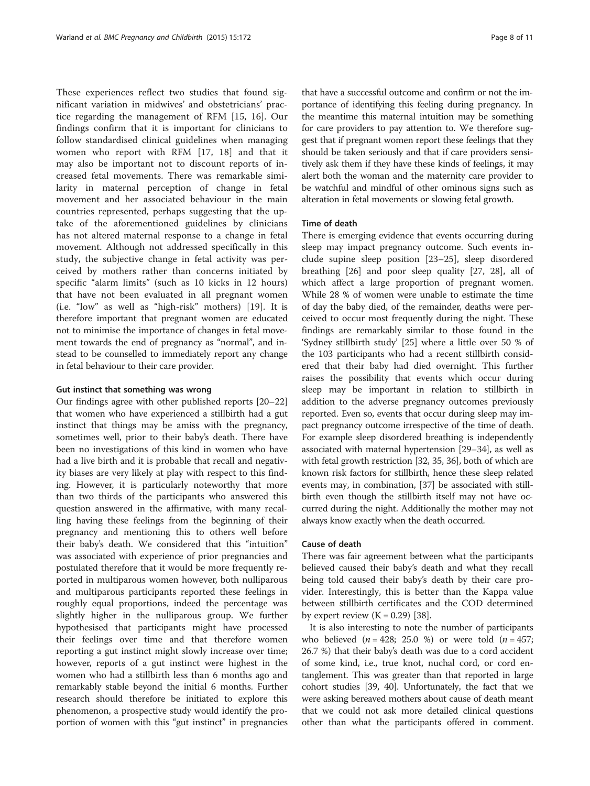These experiences reflect two studies that found significant variation in midwives' and obstetricians' practice regarding the management of RFM [[15, 16\]](#page-10-0). Our findings confirm that it is important for clinicians to follow standardised clinical guidelines when managing women who report with RFM [[17](#page-10-0), [18](#page-10-0)] and that it may also be important not to discount reports of increased fetal movements. There was remarkable similarity in maternal perception of change in fetal movement and her associated behaviour in the main countries represented, perhaps suggesting that the uptake of the aforementioned guidelines by clinicians has not altered maternal response to a change in fetal movement. Although not addressed specifically in this study, the subjective change in fetal activity was perceived by mothers rather than concerns initiated by specific "alarm limits" (such as 10 kicks in 12 hours) that have not been evaluated in all pregnant women (i.e. "low" as well as "high-risk" mothers) [\[19](#page-10-0)]. It is therefore important that pregnant women are educated not to minimise the importance of changes in fetal movement towards the end of pregnancy as "normal", and instead to be counselled to immediately report any change in fetal behaviour to their care provider.

#### Gut instinct that something was wrong

Our findings agree with other published reports [[20](#page-10-0)–[22](#page-10-0)] that women who have experienced a stillbirth had a gut instinct that things may be amiss with the pregnancy, sometimes well, prior to their baby's death. There have been no investigations of this kind in women who have had a live birth and it is probable that recall and negativity biases are very likely at play with respect to this finding. However, it is particularly noteworthy that more than two thirds of the participants who answered this question answered in the affirmative, with many recalling having these feelings from the beginning of their pregnancy and mentioning this to others well before their baby's death. We considered that this "intuition" was associated with experience of prior pregnancies and postulated therefore that it would be more frequently reported in multiparous women however, both nulliparous and multiparous participants reported these feelings in roughly equal proportions, indeed the percentage was slightly higher in the nulliparous group. We further hypothesised that participants might have processed their feelings over time and that therefore women reporting a gut instinct might slowly increase over time; however, reports of a gut instinct were highest in the women who had a stillbirth less than 6 months ago and remarkably stable beyond the initial 6 months. Further research should therefore be initiated to explore this phenomenon, a prospective study would identify the proportion of women with this "gut instinct" in pregnancies

that have a successful outcome and confirm or not the importance of identifying this feeling during pregnancy. In the meantime this maternal intuition may be something for care providers to pay attention to. We therefore suggest that if pregnant women report these feelings that they should be taken seriously and that if care providers sensitively ask them if they have these kinds of feelings, it may alert both the woman and the maternity care provider to be watchful and mindful of other ominous signs such as alteration in fetal movements or slowing fetal growth.

# Time of death

There is emerging evidence that events occurring during sleep may impact pregnancy outcome. Such events include supine sleep position [[23](#page-10-0)–[25](#page-10-0)], sleep disordered breathing [\[26\]](#page-10-0) and poor sleep quality [[27](#page-10-0), [28\]](#page-10-0), all of which affect a large proportion of pregnant women. While 28 % of women were unable to estimate the time of day the baby died, of the remainder, deaths were perceived to occur most frequently during the night. These findings are remarkably similar to those found in the 'Sydney stillbirth study' [[25](#page-10-0)] where a little over 50 % of the 103 participants who had a recent stillbirth considered that their baby had died overnight. This further raises the possibility that events which occur during sleep may be important in relation to stillbirth in addition to the adverse pregnancy outcomes previously reported. Even so, events that occur during sleep may impact pregnancy outcome irrespective of the time of death. For example sleep disordered breathing is independently associated with maternal hypertension [\[29](#page-10-0)–[34](#page-10-0)], as well as with fetal growth restriction [\[32, 35](#page-10-0), [36](#page-10-0)], both of which are known risk factors for stillbirth, hence these sleep related events may, in combination, [[37](#page-10-0)] be associated with stillbirth even though the stillbirth itself may not have occurred during the night. Additionally the mother may not always know exactly when the death occurred.

# Cause of death

There was fair agreement between what the participants believed caused their baby's death and what they recall being told caused their baby's death by their care provider. Interestingly, this is better than the Kappa value between stillbirth certificates and the COD determined by expert review  $(K = 0.29)$  [[38\]](#page-10-0).

It is also interesting to note the number of participants who believed ( $n = 428$ ; 25.0 %) or were told ( $n = 457$ ; 26.7 %) that their baby's death was due to a cord accident of some kind, i.e., true knot, nuchal cord, or cord entanglement. This was greater than that reported in large cohort studies [\[39, 40](#page-10-0)]. Unfortunately, the fact that we were asking bereaved mothers about cause of death meant that we could not ask more detailed clinical questions other than what the participants offered in comment.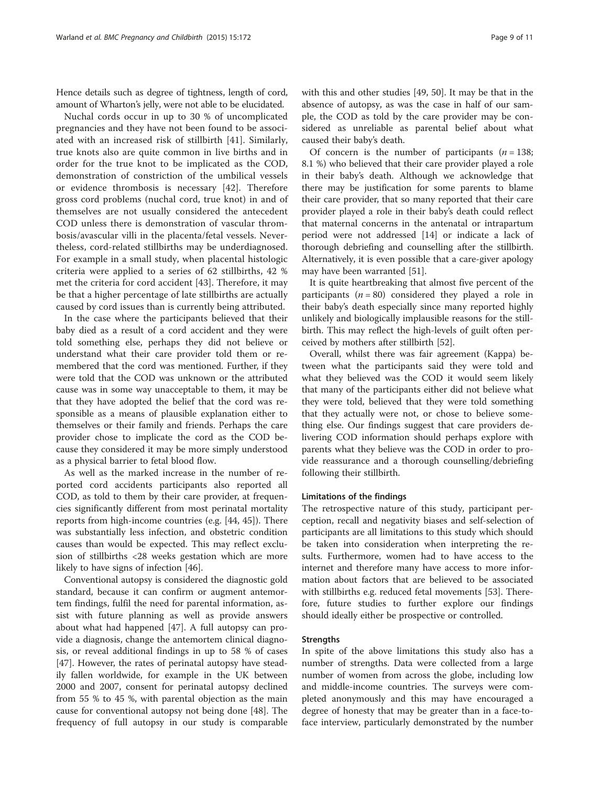Hence details such as degree of tightness, length of cord, amount of Wharton's jelly, were not able to be elucidated.

Nuchal cords occur in up to 30 % of uncomplicated pregnancies and they have not been found to be associated with an increased risk of stillbirth [[41](#page-10-0)]. Similarly, true knots also are quite common in live births and in order for the true knot to be implicated as the COD, demonstration of constriction of the umbilical vessels or evidence thrombosis is necessary [[42\]](#page-10-0). Therefore gross cord problems (nuchal cord, true knot) in and of themselves are not usually considered the antecedent COD unless there is demonstration of vascular thrombosis/avascular villi in the placenta/fetal vessels. Nevertheless, cord-related stillbirths may be underdiagnosed. For example in a small study, when placental histologic criteria were applied to a series of 62 stillbirths, 42 % met the criteria for cord accident [\[43\]](#page-10-0). Therefore, it may be that a higher percentage of late stillbirths are actually caused by cord issues than is currently being attributed.

In the case where the participants believed that their baby died as a result of a cord accident and they were told something else, perhaps they did not believe or understand what their care provider told them or remembered that the cord was mentioned. Further, if they were told that the COD was unknown or the attributed cause was in some way unacceptable to them, it may be that they have adopted the belief that the cord was responsible as a means of plausible explanation either to themselves or their family and friends. Perhaps the care provider chose to implicate the cord as the COD because they considered it may be more simply understood as a physical barrier to fetal blood flow.

As well as the marked increase in the number of reported cord accidents participants also reported all COD, as told to them by their care provider, at frequencies significantly different from most perinatal mortality reports from high-income countries (e.g. [[44, 45\]](#page-10-0)). There was substantially less infection, and obstetric condition causes than would be expected. This may reflect exclusion of stillbirths <28 weeks gestation which are more likely to have signs of infection [[46\]](#page-10-0).

Conventional autopsy is considered the diagnostic gold standard, because it can confirm or augment antemortem findings, fulfil the need for parental information, assist with future planning as well as provide answers about what had happened [[47](#page-10-0)]. A full autopsy can provide a diagnosis, change the antemortem clinical diagnosis, or reveal additional findings in up to 58 % of cases [[47\]](#page-10-0). However, the rates of perinatal autopsy have steadily fallen worldwide, for example in the UK between 2000 and 2007, consent for perinatal autopsy declined from 55 % to 45 %, with parental objection as the main cause for conventional autopsy not being done [\[48\]](#page-10-0). The frequency of full autopsy in our study is comparable with this and other studies [[49](#page-10-0), [50](#page-10-0)]. It may be that in the absence of autopsy, as was the case in half of our sample, the COD as told by the care provider may be considered as unreliable as parental belief about what caused their baby's death.

Of concern is the number of participants  $(n = 138)$ ; 8.1 %) who believed that their care provider played a role in their baby's death. Although we acknowledge that there may be justification for some parents to blame their care provider, that so many reported that their care provider played a role in their baby's death could reflect that maternal concerns in the antenatal or intrapartum period were not addressed [[14\]](#page-10-0) or indicate a lack of thorough debriefing and counselling after the stillbirth. Alternatively, it is even possible that a care-giver apology may have been warranted [[51](#page-10-0)].

It is quite heartbreaking that almost five percent of the participants  $(n = 80)$  considered they played a role in their baby's death especially since many reported highly unlikely and biologically implausible reasons for the stillbirth. This may reflect the high-levels of guilt often perceived by mothers after stillbirth [\[52\]](#page-10-0).

Overall, whilst there was fair agreement (Kappa) between what the participants said they were told and what they believed was the COD it would seem likely that many of the participants either did not believe what they were told, believed that they were told something that they actually were not, or chose to believe something else. Our findings suggest that care providers delivering COD information should perhaps explore with parents what they believe was the COD in order to provide reassurance and a thorough counselling/debriefing following their stillbirth.

# Limitations of the findings

The retrospective nature of this study, participant perception, recall and negativity biases and self-selection of participants are all limitations to this study which should be taken into consideration when interpreting the results. Furthermore, women had to have access to the internet and therefore many have access to more information about factors that are believed to be associated with stillbirths e.g. reduced fetal movements [[53](#page-10-0)]. Therefore, future studies to further explore our findings should ideally either be prospective or controlled.

#### **Strengths**

In spite of the above limitations this study also has a number of strengths. Data were collected from a large number of women from across the globe, including low and middle-income countries. The surveys were completed anonymously and this may have encouraged a degree of honesty that may be greater than in a face-toface interview, particularly demonstrated by the number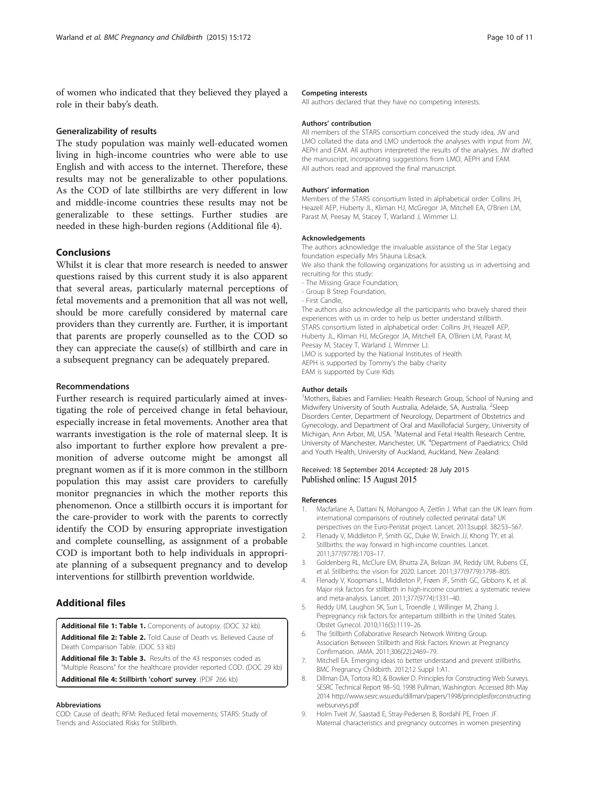<span id="page-9-0"></span>of women who indicated that they believed they played a role in their baby's death.

#### Generalizability of results

The study population was mainly well-educated women living in high-income countries who were able to use English and with access to the internet. Therefore, these results may not be generalizable to other populations. As the COD of late stillbirths are very different in low and middle-income countries these results may not be generalizable to these settings. Further studies are needed in these high-burden regions (Additional file 4).

# Conclusions

Whilst it is clear that more research is needed to answer questions raised by this current study it is also apparent that several areas, particularly maternal perceptions of fetal movements and a premonition that all was not well, should be more carefully considered by maternal care providers than they currently are. Further, it is important that parents are properly counselled as to the COD so they can appreciate the cause(s) of stillbirth and care in a subsequent pregnancy can be adequately prepared.

### Recommendations

Further research is required particularly aimed at investigating the role of perceived change in fetal behaviour, especially increase in fetal movements. Another area that warrants investigation is the role of maternal sleep. It is also important to further explore how prevalent a premonition of adverse outcome might be amongst all pregnant women as if it is more common in the stillborn population this may assist care providers to carefully monitor pregnancies in which the mother reports this phenomenon. Once a stillbirth occurs it is important for the care-provider to work with the parents to correctly identify the COD by ensuring appropriate investigation and complete counselling, as assignment of a probable COD is important both to help individuals in appropriate planning of a subsequent pregnancy and to develop interventions for stillbirth prevention worldwide.

# Additional files

[Additional file 1: Table 1.](http://www.biomedcentral.com/content/supplementary/s12884-015-0602-4-s1.doc) Components of autopsy. (DOC 32 kb). [Additional file 2: Table 2.](http://www.biomedcentral.com/content/supplementary/s12884-015-0602-4-s2.doc) Told Cause of Death vs. Believed Cause of Death Comparison Table. (DOC 53 kb)

[Additional file 3: Table 3.](http://www.biomedcentral.com/content/supplementary/s12884-015-0602-4-s3.doc) Results of the 43 responses coded as "Multiple Reasons" for the healthcare provider reported COD. (DOC 29 kb) [Additional file 4:](http://www.biomedcentral.com/content/supplementary/s12884-015-0602-4-s4.pdf) Stillbirth 'cohort' survey. (PDF 266 kb)

#### Abbreviations

COD: Cause of death; RFM: Reduced fetal movements; STARS: Study of Trends and Associated Risks for Stillbirth.

#### Competing interests

All authors declared that they have no competing interests.

#### Authors' contribution

All members of the STARS consortium conceived the study idea, JW and LMO collated the data and LMO undertook the analyses with input from JW, AEPH and EAM. All authors interpreted the results of the analyses. JW drafted the manuscript, incorporating suggestions from LMO, AEPH and EAM. All authors read and approved the final manuscript.

#### Authors' information

Members of the STARS consortium listed in alphabetical order: Collins JH, Heazell AEP, Huberty JL, Kliman HJ, McGregor JA, Mitchell EA, O'Brien LM, Parast M, Peesay M, Stacey T, Warland J, Wimmer LJ.

#### Acknowledgements

The authors acknowledge the invaluable assistance of the Star Legacy foundation especially Mrs Shauna Libsack. We also thank the following organizations for assisting us in advertising and

recruiting for this study:

- The Missing Grace Foundation,
- Group B Strep Foundation,
- First Candle,

The authors also acknowledge all the participants who bravely shared their experiences with us in order to help us better understand stillbirth. STARS consortium listed in alphabetical order: Collins JH, Heazell AEP, Huberty JL, Kliman HJ, McGregor JA, Mitchell EA, O'Brien LM, Parast M, Peesay M, Stacey T, Warland J, Wimmer LJ. LMO is supported by the National Institutes of Health

AEPH is supported by Tommy's the baby charity

EAM is supported by Cure Kids

### Author details

<sup>1</sup>Mothers, Babies and Families: Health Research Group, School of Nursing and Midwifery University of South Australia, Adelaide, SA, Australia. <sup>2</sup>Sleep Disorders Center, Department of Neurology, Department of Obstetrics and Gynecology, and Department of Oral and Maxillofacial Surgery, University of Michigan, Ann Arbor, MI, USA. <sup>3</sup>Maternal and Fetal Health Research Centre, University of Manchester, Manchester, UK. <sup>4</sup>Department of Paediatrics: Child and Youth Health, University of Auckland, Auckland, New Zealand.

#### Received: 18 September 2014 Accepted: 28 July 2015 Published online: 15 August 2015

#### References

- 1. Macfarlane A, Dattani N, Mohangoo A, Zeitlin J. What can the UK learn from international comparisons of routinely collected perinatal data? UK perspectives on the Euro-Peristat project. Lancet. 2013;suppl. 382:S3–S67.
- 2. Flenady V, Middleton P, Smith GC, Duke W, Erwich JJ, Khong TY, et al. Stillbirths: the way forward in high-income countries. Lancet. 2011;377(9778):1703–17.
- 3. Goldenberg RL, McClure EM, Bhutta ZA, Belizan JM, Reddy UM, Rubens CE, et al. Stillbirths: the vision for 2020. Lancet. 2011;377(9779):1798–805.
- 4. Flenady V, Koopmans L, Middleton P, Frøen JF, Smith GC, Gibbons K, et al. Major risk factors for stillbirth in high-income countries: a systematic review and meta-analysis. Lancet. 2011;377(9774):1331–40.
- 5. Reddy UM, Laughon SK, Sun L, Troendle J, Willinger M, Zhang J. Prepregnancy risk factors for antepartum stillbirth in the United States. Obstet Gynecol. 2010;116(5):1119–26.
- 6. The Stillbirth Collaborative Research Network Writing Group. Association Between Stillbirth and Risk Factors Known at Pregnancy Confirmation. JAMA. 2011;306(22):2469–79.
- 7. Mitchell EA. Emerging ideas to better understand and prevent stillbirths. BMC Pregnancy Childbirth. 2012;12 Suppl 1:A1.
- 8. Dillman DA, Tortora RD, & Bowker D. Principles for Constructing Web Surveys. SESRC Technical Report 98–50, 1998 Pullman, Washington. Accessed 8th May 2014 [http://www.sesrc.wsu.edu/dillman/papers/1998/principlesforconstructing](http://www.sesrc.wsu.edu/dillman/papers/1998/principlesforconstructingwebsurveys.pdf) [websurveys.pdf](http://www.sesrc.wsu.edu/dillman/papers/1998/principlesforconstructingwebsurveys.pdf)
- 9. Holm Tveit JV, Saastad E, Stray-Pedersen B, Bordahl PE, Froen JF. Maternal characteristics and pregnancy outcomes in women presenting